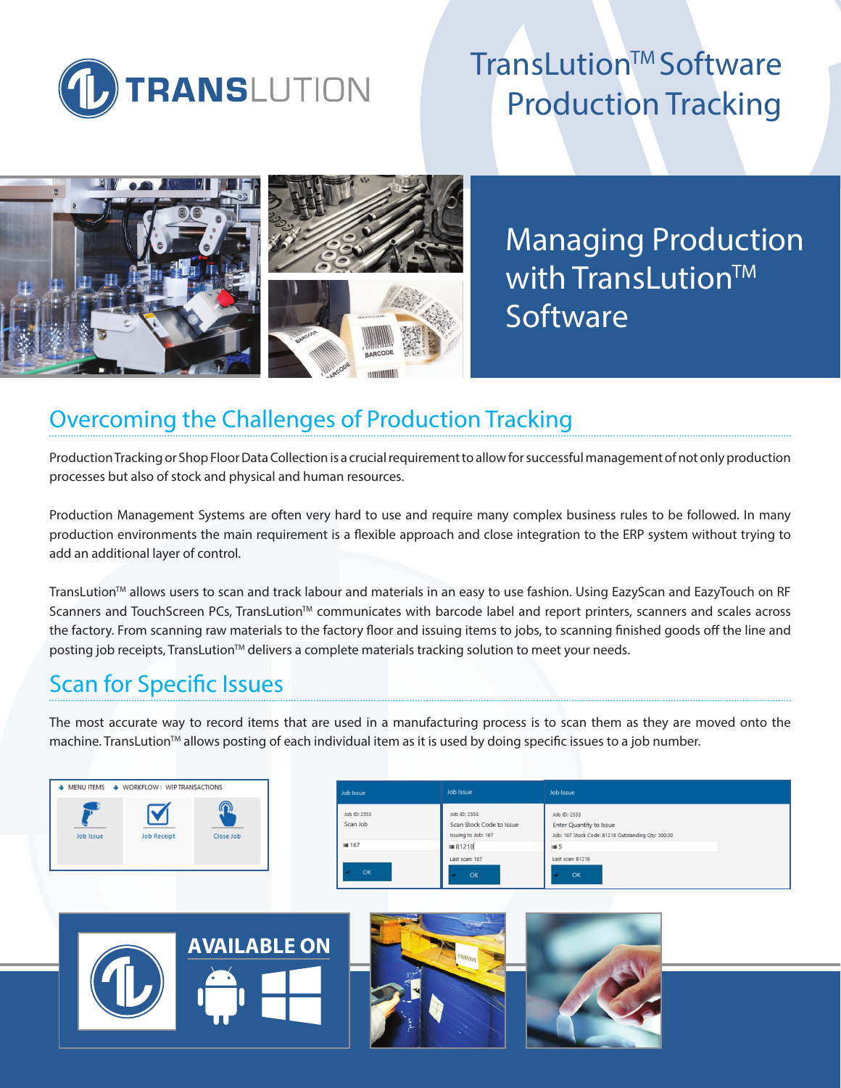

# TransLution™ Software Production Tracking



Managing Production with TransLution™ **Software** 

### Overcoming the Challenges of Production Tracking

Production Tracking or Shop Floor Data Collection is a crucial requirement to allow for successful management of not only production processes but also of stock and physical and human resources.

Production Management Systems are often very hard to use and require many complex business rules to be followed. In many production environments the main requirement is a flexible approach and close integration to the ERP system without trying to add an additional layer of control.

TransLution™ allows users to scan and track labour and materials in an easy to use fashion. Using EazyScan and EazyTouch on RF Scanners and TouchScreen PCs, TransLution™ communicates with barcode label and report printers, scanners and scales across the factory. From scanning raw materials to the factory floor and issuing items to jobs, to scanning finished goods off the line and posting job receipts, TransLution™ delivers a complete materials tracking solution to meet your needs.

## Scan for Specific Issues

The most accurate way to record items that are used in a manufacturing process is to scan them as they are moved onto the machine. TransLution<sup>™</sup> allows posting of each individual item as it is used by doing specific issues to a job number.



| Job Issue                | Job Issue                                                       | Job Issue                                                                                            |
|--------------------------|-----------------------------------------------------------------|------------------------------------------------------------------------------------------------------|
| Job ID: 2553<br>Scan Job | Job ID: 2553<br>Scan Stock Code to Issue<br>Issuing to Job: 167 | Job ID: 2553<br><b>Enter Quantity to Issue</b><br>Job: 167 Stock Code: B1218 Outstanding Qty: 300.00 |
| Ⅲ 167                    | <b>III B1218</b>                                                | III.5                                                                                                |
| OK                       | Last scan: 167<br>OK                                            | Last scan: B1218<br>OK                                                                               |